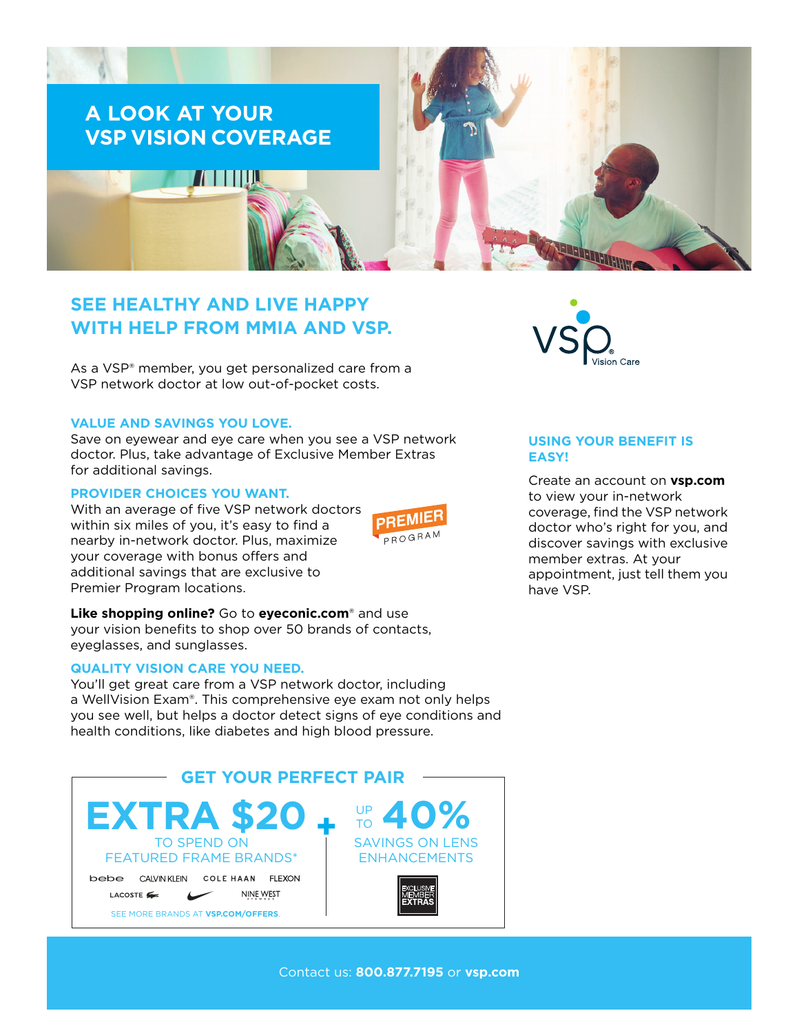

# **SEE HEALTHY AND LIVE HAPPY WITH HELP FROM MMIA AND VSP.**

As a VSP® member, you get personalized care from a VSP network doctor at low out-of-pocket costs.

#### **VALUE AND SAVINGS YOU LOVE.**

Save on eyewear and eye care when you see a VSP network doctor. Plus, take advantage of Exclusive Member Extras for additional savings.

#### **PROVIDER CHOICES YOU WANT.**

With an average of five VSP network doctors within six miles of you, it's easy to find a nearby in-network doctor. Plus, maximize your coverage with bonus offers and additional savings that are exclusive to Premier Program locations.



**Like shopping online?** Go to **[eyeconic.com](https://www.eyeconic.com)**® and use your vision benefits to shop over 50 brands of contacts, eyeglasses, and sunglasses.

## **QUALITY VISION CARE YOU NEED.**

You'll get great care from a VSP network doctor, including a WellVision Exam®. This comprehensive eye exam not only helps you see well, but helps a doctor detect signs of eye conditions and health conditions, like diabetes and high blood pressure.





### **USING YOUR BENEFIT IS EASY!**

Create an account on **[vsp.com](http://www.vsp.com)** to view your in-network coverage, find the VSP network doctor who's right for you, and discover savings with exclusive member extras. At your appointment, just tell them you have VSP.